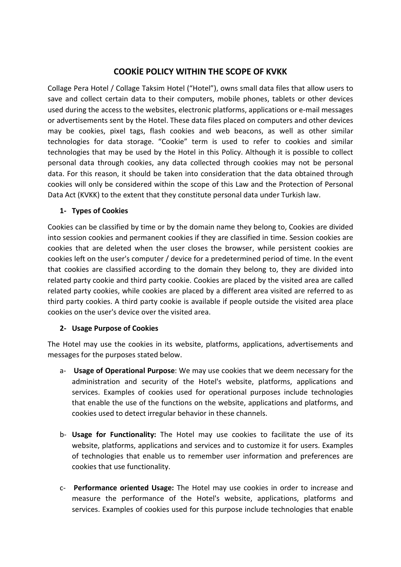# COOKİE POLICY WITHIN THE SCOPE OF KVKK

Collage Pera Hotel / Collage Taksim Hotel ("Hotel"), owns small data files that allow users to save and collect certain data to their computers, mobile phones, tablets or other devices used during the access to the websites, electronic platforms, applications or e-mail messages or advertisements sent by the Hotel. These data files placed on computers and other devices may be cookies, pixel tags, flash cookies and web beacons, as well as other similar technologies for data storage. "Cookie" term is used to refer to cookies and similar technologies that may be used by the Hotel in this Policy. Although it is possible to collect personal data through cookies, any data collected through cookies may not be personal data. For this reason, it should be taken into consideration that the data obtained through cookies will only be considered within the scope of this Law and the Protection of Personal Data Act (KVKK) to the extent that they constitute personal data under Turkish law.

#### 1- Types of Cookies

Cookies can be classified by time or by the domain name they belong to, Cookies are divided into session cookies and permanent cookies if they are classified in time. Session cookies are cookies that are deleted when the user closes the browser, while persistent cookies are cookies left on the user's computer / device for a predetermined period of time. In the event that cookies are classified according to the domain they belong to, they are divided into related party cookie and third party cookie. Cookies are placed by the visited area are called related party cookies, while cookies are placed by a different area visited are referred to as third party cookies. A third party cookie is available if people outside the visited area place cookies on the user's device over the visited area.

#### 2- Usage Purpose of Cookies

The Hotel may use the cookies in its website, platforms, applications, advertisements and messages for the purposes stated below.

- a- Usage of Operational Purpose: We may use cookies that we deem necessary for the administration and security of the Hotel's website, platforms, applications and services. Examples of cookies used for operational purposes include technologies that enable the use of the functions on the website, applications and platforms, and cookies used to detect irregular behavior in these channels.
- b- Usage for Functionality: The Hotel may use cookies to facilitate the use of its website, platforms, applications and services and to customize it for users. Examples of technologies that enable us to remember user information and preferences are cookies that use functionality.
- c- Performance oriented Usage: The Hotel may use cookies in order to increase and measure the performance of the Hotel's website, applications, platforms and services. Examples of cookies used for this purpose include technologies that enable